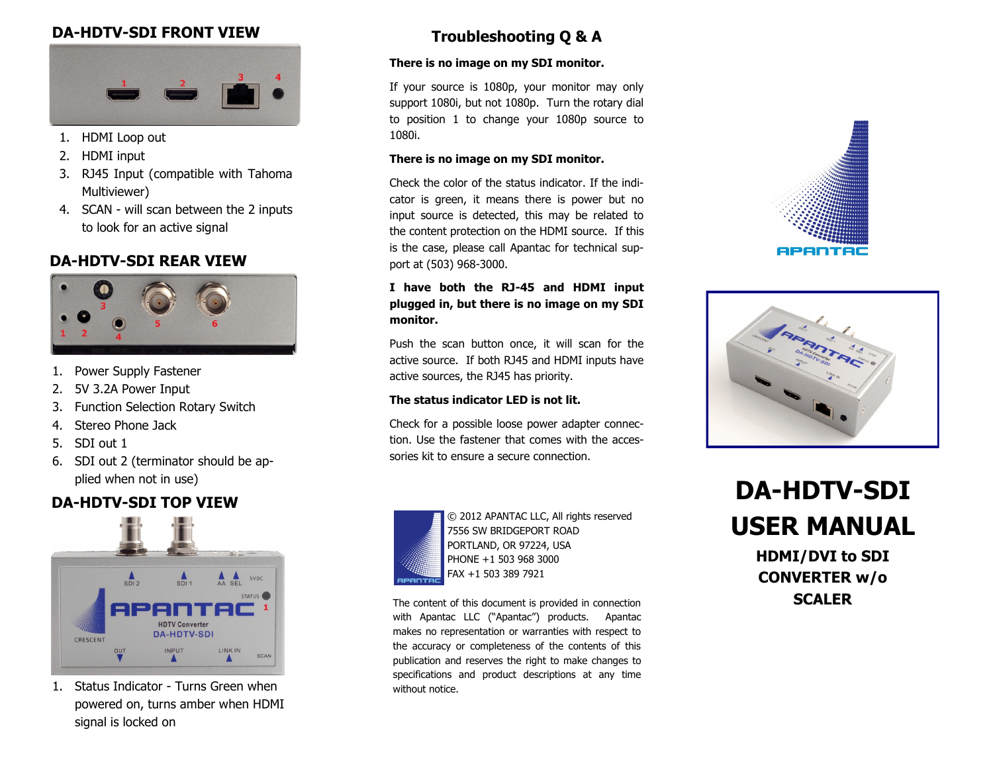## **DA-HDTV-SDI FRONT VIEW**



- 1. HDMI Loop out
- 2. HDMI input
- 3. RJ45 Input (compatible with Tahoma Multiviewer)
- 4. SCAN will scan between the 2 inputs to look for an active signal

## **DA-HDTV-SDI REAR VIEW**



- 1. Power Supply Fastener
- 2. 5V 3.2A Power Input
- 3. Function Selection Rotary Switch
- 4. Stereo Phone Jack
- 5. SDI out 1
- 6. SDI out 2 (terminator should be applied when not in use)

# **DA-HDTV-SDI TOP VIEW**



1. Status Indicator - Turns Green when powered on, turns amber when HDMI signal is locked on

# **Troubleshooting Q & A**

#### **There is no image on my SDI monitor.**

If your source is 1080p, your monitor may only support 1080i, but not 1080p. Turn the rotary dial to position 1 to change your 1080p source to 1080i.

#### **There is no image on my SDI monitor.**

Check the color of the status indicator. If the indicator is green, it means there is power but no input source is detected, this may be related to the content protection on the HDMI source. If this is the case, please call Apantac for technical support at (503) 968-3000.

#### **I have both the RJ-45 and HDMI input plugged in, but there is no image on my SDI monitor.**

Push the scan button once, it will scan for the active source. If both RJ45 and HDMI inputs have active sources, the RJ45 has priority.

#### **The status indicator LED is not lit.**

Check for a possible loose power adapter connection. Use the fastener that comes with the accessories kit to ensure a secure connection.



© 2012 APANTAC LLC, All rights reserved 7556 SW BRIDGEPORT ROAD PORTLAND, OR 97224, USA PHONE +1 503 968 3000 FAX +1 503 389 7921

The content of this document is provided in connection with Apantac LLC ("Apantac") products. Apantac makes no representation or warranties with respect to the accuracy or completeness of the contents of this publication and reserves the right to make changes to specifications and product descriptions at any time without notice.





| <b>DA-HDTV-SDI</b>     |  |  |
|------------------------|--|--|
| <b>USER MANUAL</b>     |  |  |
| <b>HDMI/DVI to SDI</b> |  |  |

**CONVERTER w/o SCALER**